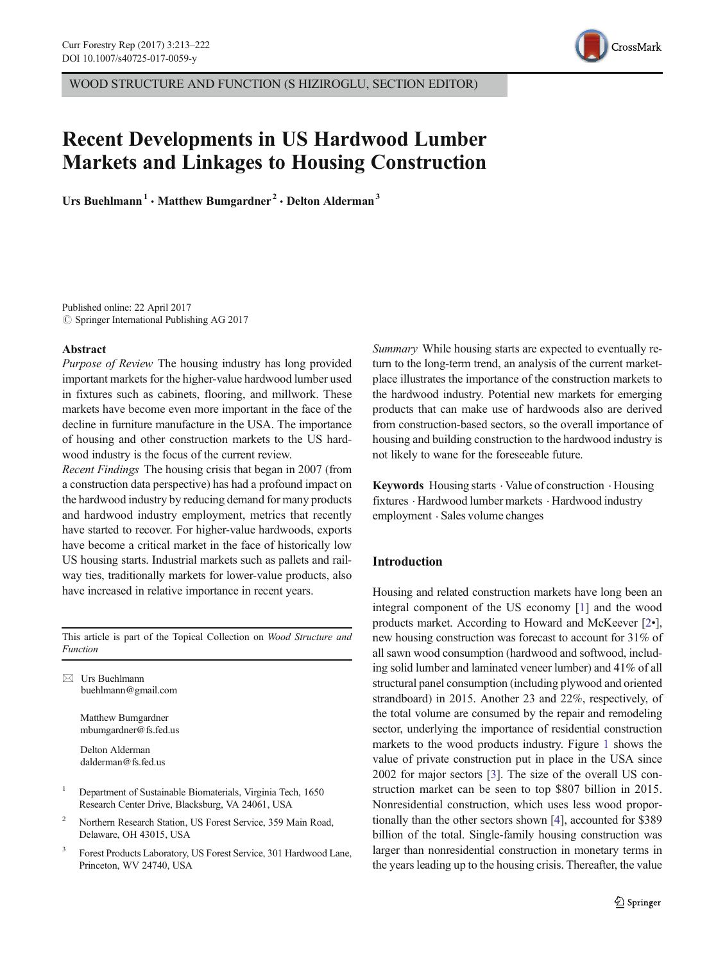

# Recent Developments in US Hardwood Lumber Markets and Linkages to Housing Construction

Urs Buehlmann<sup>1</sup> · Matthew Bumgardner<sup>2</sup> · Delton Alderman<sup>3</sup>

Published online: 22 April 2017  $\circ$  Springer International Publishing AG 2017

#### Abstract

Purpose of Review The housing industry has long provided important markets for the higher-value hardwood lumber used in fixtures such as cabinets, flooring, and millwork. These markets have become even more important in the face of the decline in furniture manufacture in the USA. The importance of housing and other construction markets to the US hardwood industry is the focus of the current review.

Recent Findings The housing crisis that began in 2007 (from a construction data perspective) has had a profound impact on the hardwood industry by reducing demand for many products and hardwood industry employment, metrics that recently have started to recover. For higher-value hardwoods, exports have become a critical market in the face of historically low US housing starts. Industrial markets such as pallets and railway ties, traditionally markets for lower-value products, also have increased in relative importance in recent years.

This article is part of the Topical Collection on Wood Structure and Function

 $\boxtimes$  Urs Buehlmann buehlmann@gmail.com

> Matthew Bumgardner mbumgardner@fs.fed.us

Delton Alderman dalderman@fs.fed.us

- <sup>1</sup> Department of Sustainable Biomaterials, Virginia Tech, 1650 Research Center Drive, Blacksburg, VA 24061, USA
- <sup>2</sup> Northern Research Station, US Forest Service, 359 Main Road, Delaware, OH 43015, USA
- <sup>3</sup> Forest Products Laboratory, US Forest Service, 301 Hardwood Lane, Princeton, WV 24740, USA

Summary While housing starts are expected to eventually return to the long-term trend, an analysis of the current marketplace illustrates the importance of the construction markets to the hardwood industry. Potential new markets for emerging products that can make use of hardwoods also are derived from construction-based sectors, so the overall importance of housing and building construction to the hardwood industry is not likely to wane for the foreseeable future.

Keywords Housing starts . Value of construction . Housing fixtures . Hardwood lumber markets . Hardwood industry employment . Sales volume changes

## Introduction

Housing and related construction markets have long been an integral component of the US economy [[1\]](#page-8-0) and the wood products market. According to Howard and McKeever [\[2](#page-8-0)•], new housing construction was forecast to account for 31% of all sawn wood consumption (hardwood and softwood, including solid lumber and laminated veneer lumber) and 41% of all structural panel consumption (including plywood and oriented strandboard) in 2015. Another 23 and 22%, respectively, of the total volume are consumed by the repair and remodeling sector, underlying the importance of residential construction markets to the wood products industry. Figure [1](#page-2-0) shows the value of private construction put in place in the USA since 2002 for major sectors [\[3](#page-8-0)]. The size of the overall US construction market can be seen to top \$807 billion in 2015. Nonresidential construction, which uses less wood proportionally than the other sectors shown [[4](#page-8-0)], accounted for \$389 billion of the total. Single-family housing construction was larger than nonresidential construction in monetary terms in the years leading up to the housing crisis. Thereafter, the value

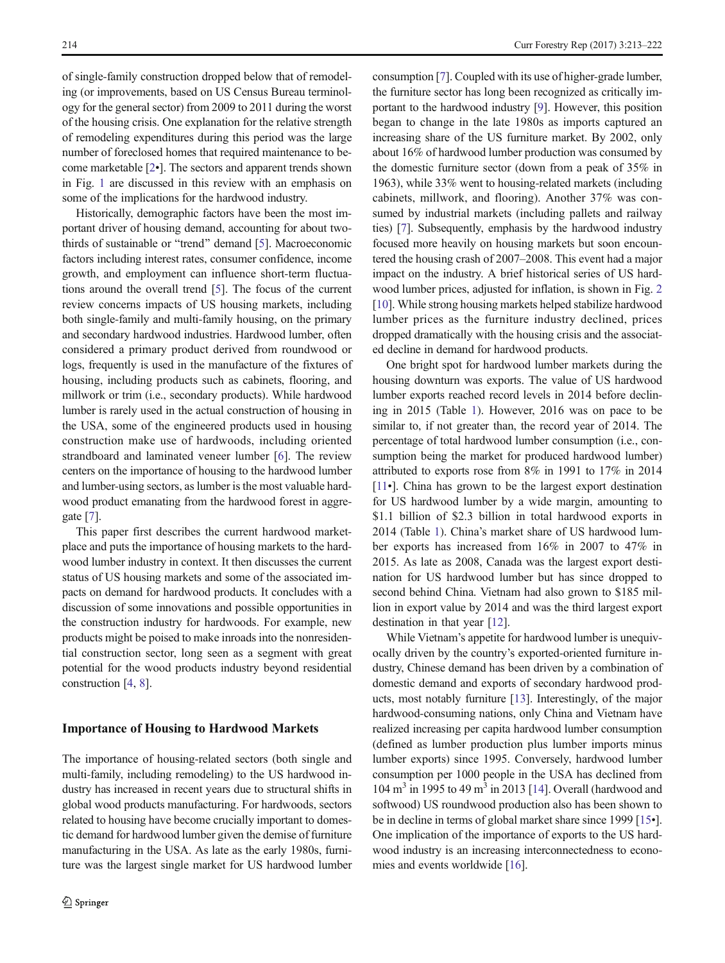of single-family construction dropped below that of remodeling (or improvements, based on US Census Bureau terminology for the general sector) from 2009 to 2011 during the worst of the housing crisis. One explanation for the relative strength of remodeling expenditures during this period was the large number of foreclosed homes that required maintenance to become marketable [[2](#page-8-0)•]. The sectors and apparent trends shown in Fig. [1](#page-2-0) are discussed in this review with an emphasis on some of the implications for the hardwood industry.

Historically, demographic factors have been the most important driver of housing demand, accounting for about two-thirds of sustainable or "trend" demand [[5\]](#page-8-0). Macroeconomic factors including interest rates, consumer confidence, income growth, and employment can influence short-term fluctuations around the overall trend [[5\]](#page-8-0). The focus of the current review concerns impacts of US housing markets, including both single-family and multi-family housing, on the primary and secondary hardwood industries. Hardwood lumber, often considered a primary product derived from roundwood or logs, frequently is used in the manufacture of the fixtures of housing, including products such as cabinets, flooring, and millwork or trim (i.e., secondary products). While hardwood lumber is rarely used in the actual construction of housing in the USA, some of the engineered products used in housing construction make use of hardwoods, including oriented strandboard and laminated veneer lumber [\[6](#page-8-0)]. The review centers on the importance of housing to the hardwood lumber and lumber-using sectors, as lumber is the most valuable hardwood product emanating from the hardwood forest in aggregate [[7\]](#page-8-0).

This paper first describes the current hardwood marketplace and puts the importance of housing markets to the hardwood lumber industry in context. It then discusses the current status of US housing markets and some of the associated impacts on demand for hardwood products. It concludes with a discussion of some innovations and possible opportunities in the construction industry for hardwoods. For example, new products might be poised to make inroads into the nonresidential construction sector, long seen as a segment with great potential for the wood products industry beyond residential construction [\[4](#page-8-0), [8](#page-8-0)].

### Importance of Housing to Hardwood Markets

The importance of housing-related sectors (both single and multi-family, including remodeling) to the US hardwood industry has increased in recent years due to structural shifts in global wood products manufacturing. For hardwoods, sectors related to housing have become crucially important to domestic demand for hardwood lumber given the demise of furniture manufacturing in the USA. As late as the early 1980s, furniture was the largest single market for US hardwood lumber consumption [\[7](#page-8-0)]. Coupled with its use of higher-grade lumber, the furniture sector has long been recognized as critically important to the hardwood industry [[9\]](#page-8-0). However, this position began to change in the late 1980s as imports captured an increasing share of the US furniture market. By 2002, only about 16% of hardwood lumber production was consumed by the domestic furniture sector (down from a peak of 35% in 1963), while 33% went to housing-related markets (including cabinets, millwork, and flooring). Another 37% was consumed by industrial markets (including pallets and railway ties) [\[7](#page-8-0)]. Subsequently, emphasis by the hardwood industry focused more heavily on housing markets but soon encountered the housing crash of 2007–2008. This event had a major impact on the industry. A brief historical series of US hardwood lumber prices, adjusted for inflation, is shown in Fig. [2](#page-3-0) [\[10](#page-8-0)]. While strong housing markets helped stabilize hardwood lumber prices as the furniture industry declined, prices dropped dramatically with the housing crisis and the associated decline in demand for hardwood products.

One bright spot for hardwood lumber markets during the housing downturn was exports. The value of US hardwood lumber exports reached record levels in 2014 before declining in 2015 (Table [1](#page-3-0)). However, 2016 was on pace to be similar to, if not greater than, the record year of 2014. The percentage of total hardwood lumber consumption (i.e., consumption being the market for produced hardwood lumber) attributed to exports rose from 8% in 1991 to 17% in 2014 [\[11](#page-8-0)•]. China has grown to be the largest export destination for US hardwood lumber by a wide margin, amounting to \$1.1 billion of \$2.3 billion in total hardwood exports in 2014 (Table [1\)](#page-3-0). China's market share of US hardwood lumber exports has increased from 16% in 2007 to 47% in 2015. As late as 2008, Canada was the largest export destination for US hardwood lumber but has since dropped to second behind China. Vietnam had also grown to \$185 million in export value by 2014 and was the third largest export destination in that year [[12\]](#page-8-0).

While Vietnam's appetite for hardwood lumber is unequivocally driven by the country's exported-oriented furniture industry, Chinese demand has been driven by a combination of domestic demand and exports of secondary hardwood products, most notably furniture [\[13](#page-8-0)]. Interestingly, of the major hardwood-consuming nations, only China and Vietnam have realized increasing per capita hardwood lumber consumption (defined as lumber production plus lumber imports minus lumber exports) since 1995. Conversely, hardwood lumber consumption per 1000 people in the USA has declined from 104 m<sup>3</sup> in 1995 to 49 m<sup>3</sup> in 2013 [\[14](#page-8-0)]. Overall (hardwood and softwood) US roundwood production also has been shown to be in decline in terms of global market share since 1999 [[15](#page-8-0)•]. One implication of the importance of exports to the US hardwood industry is an increasing interconnectedness to economies and events worldwide [\[16](#page-8-0)].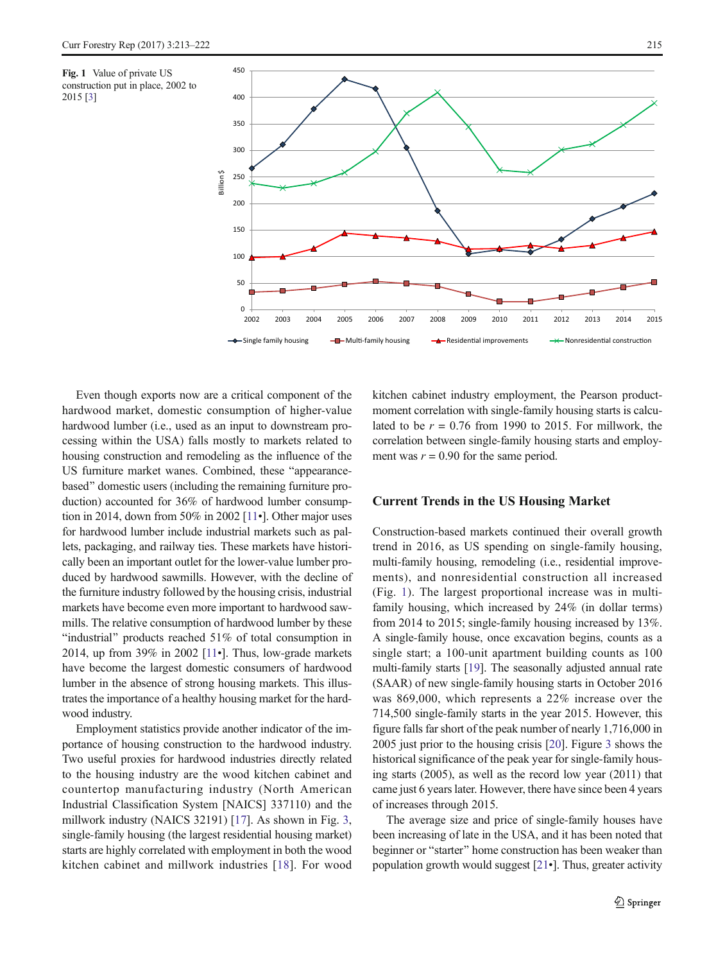<span id="page-2-0"></span>Fig. 1 Value of private US construction put in place, 2002 to 2015 [[3\]](#page-8-0)



Even though exports now are a critical component of the hardwood market, domestic consumption of higher-value hardwood lumber (i.e., used as an input to downstream processing within the USA) falls mostly to markets related to housing construction and remodeling as the influence of the US furniture market wanes. Combined, these "appearancebased" domestic users (including the remaining furniture production) accounted for 36% of hardwood lumber consumption in 2014, down from 50% in 2002 [[11](#page-8-0)•]. Other major uses for hardwood lumber include industrial markets such as pallets, packaging, and railway ties. These markets have historically been an important outlet for the lower-value lumber produced by hardwood sawmills. However, with the decline of the furniture industry followed by the housing crisis, industrial markets have become even more important to hardwood sawmills. The relative consumption of hardwood lumber by these "industrial" products reached  $51\%$  of total consumption in 2014, up from 39% in 2002 [\[11](#page-8-0)•]. Thus, low-grade markets have become the largest domestic consumers of hardwood lumber in the absence of strong housing markets. This illustrates the importance of a healthy housing market for the hardwood industry.

Employment statistics provide another indicator of the importance of housing construction to the hardwood industry. Two useful proxies for hardwood industries directly related to the housing industry are the wood kitchen cabinet and countertop manufacturing industry (North American Industrial Classification System [NAICS] 337110) and the millwork industry (NAICS 32191) [[17\]](#page-8-0). As shown in Fig. [3,](#page-4-0) single-family housing (the largest residential housing market) starts are highly correlated with employment in both the wood kitchen cabinet and millwork industries [[18\]](#page-8-0). For wood kitchen cabinet industry employment, the Pearson productmoment correlation with single-family housing starts is calculated to be  $r = 0.76$  from 1990 to 2015. For millwork, the correlation between single-family housing starts and employment was  $r = 0.90$  for the same period.

#### Current Trends in the US Housing Market

Construction-based markets continued their overall growth trend in 2016, as US spending on single-family housing, multi-family housing, remodeling (i.e., residential improvements), and nonresidential construction all increased (Fig. 1). The largest proportional increase was in multifamily housing, which increased by 24% (in dollar terms) from 2014 to 2015; single-family housing increased by 13%. A single-family house, once excavation begins, counts as a single start; a 100-unit apartment building counts as 100 multi-family starts [[19](#page-8-0)]. The seasonally adjusted annual rate (SAAR) of new single-family housing starts in October 2016 was 869,000, which represents a 22% increase over the 714,500 single-family starts in the year 2015. However, this figure falls far short of the peak number of nearly 1,716,000 in 2005 just prior to the housing crisis [\[20](#page-8-0)]. Figure [3](#page-4-0) shows the historical significance of the peak year for single-family housing starts (2005), as well as the record low year (2011) that came just 6 years later. However, there have since been 4 years of increases through 2015.

The average size and price of single-family houses have been increasing of late in the USA, and it has been noted that beginner or "starter" home construction has been weaker than population growth would suggest [\[21](#page-8-0)•]. Thus, greater activity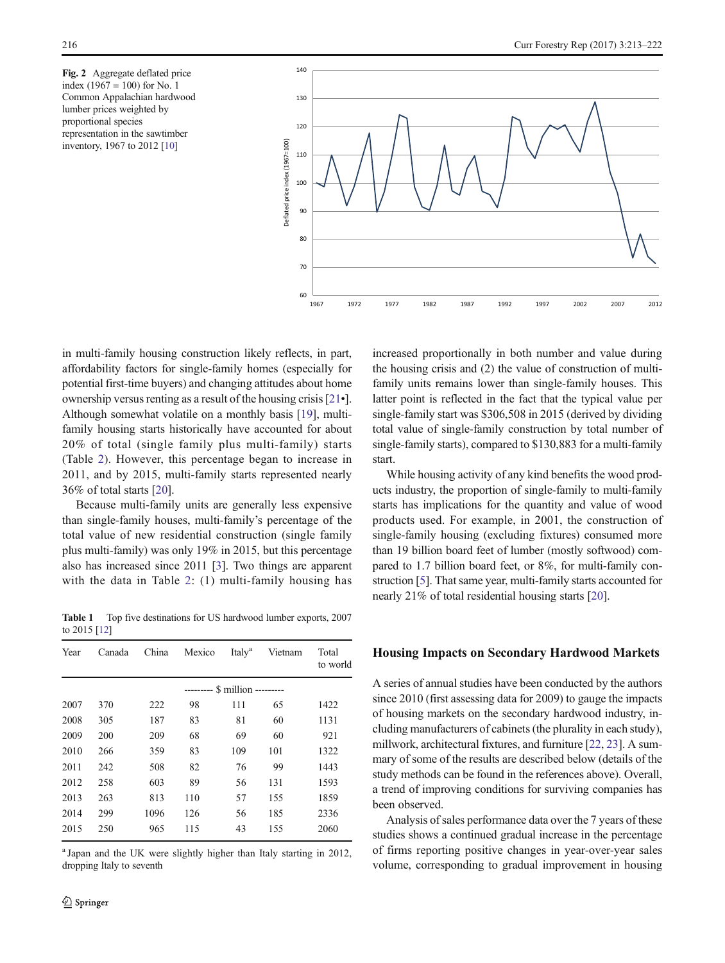<span id="page-3-0"></span>Fig. 2 Aggregate deflated price index  $(1967 = 100)$  for No. 1 Common Appalachian hardwood lumber prices weighted by proportional species representation in the sawtimber inventory, 1967 to 2012 [\[10](#page-8-0)]



in multi-family housing construction likely reflects, in part, affordability factors for single-family homes (especially for potential first-time buyers) and changing attitudes about home ownership versus renting as a result of the housing crisis [\[21](#page-8-0)•]. Although somewhat volatile on a monthly basis [\[19\]](#page-8-0), multifamily housing starts historically have accounted for about 20% of total (single family plus multi-family) starts (Table [2\)](#page-4-0). However, this percentage began to increase in 2011, and by 2015, multi-family starts represented nearly 36% of total starts [[20\]](#page-8-0).

Because multi-family units are generally less expensive than single-family houses, multi-family's percentage of the total value of new residential construction (single family plus multi-family) was only 19% in 2015, but this percentage also has increased since 2011 [\[3](#page-8-0)]. Two things are apparent with the data in Table [2](#page-4-0): (1) multi-family housing has

Table 1 Top five destinations for US hardwood lumber exports, 2007 to 2015 [\[12](#page-8-0)]

| Year | Canada | China                        | Mexico | Italy <sup>a</sup> | Vietnam | Total<br>to world |  |  |  |  |
|------|--------|------------------------------|--------|--------------------|---------|-------------------|--|--|--|--|
|      |        | -------- \$ million -------- |        |                    |         |                   |  |  |  |  |
| 2007 | 370    | 222                          | 98     | 111                | 65      | 1422              |  |  |  |  |
| 2008 | 305    | 187                          | 83     | 81                 | 60      | 1131              |  |  |  |  |
| 2009 | 200    | 209                          | 68     | 69                 | 60      | 921               |  |  |  |  |
| 2010 | 266    | 359                          | 83     | 109                | 101     | 1322              |  |  |  |  |
| 2011 | 242    | 508                          | 82     | 76                 | 99      | 1443              |  |  |  |  |
| 2012 | 258    | 603                          | 89     | 56                 | 131     | 1593              |  |  |  |  |
| 2013 | 263    | 813                          | 110    | 57                 | 155     | 1859              |  |  |  |  |
| 2014 | 299    | 1096                         | 126    | 56                 | 185     | 2336              |  |  |  |  |
| 2015 | 250    | 965                          | 115    | 43                 | 155     | 2060              |  |  |  |  |

<sup>a</sup> Japan and the UK were slightly higher than Italy starting in 2012, dropping Italy to seventh

increased proportionally in both number and value during the housing crisis and (2) the value of construction of multifamily units remains lower than single-family houses. This latter point is reflected in the fact that the typical value per single-family start was \$306,508 in 2015 (derived by dividing total value of single-family construction by total number of single-family starts), compared to \$130,883 for a multi-family start.

While housing activity of any kind benefits the wood products industry, the proportion of single-family to multi-family starts has implications for the quantity and value of wood products used. For example, in 2001, the construction of single-family housing (excluding fixtures) consumed more than 19 billion board feet of lumber (mostly softwood) compared to 1.7 billion board feet, or 8%, for multi-family construction [[5\]](#page-8-0). That same year, multi-family starts accounted for nearly 21% of total residential housing starts [[20\]](#page-8-0).

### Housing Impacts on Secondary Hardwood Markets

A series of annual studies have been conducted by the authors since 2010 (first assessing data for 2009) to gauge the impacts of housing markets on the secondary hardwood industry, including manufacturers of cabinets (the plurality in each study), millwork, architectural fixtures, and furniture [\[22,](#page-8-0) [23](#page-8-0)]. A summary of some of the results are described below (details of the study methods can be found in the references above). Overall, a trend of improving conditions for surviving companies has been observed.

Analysis of sales performance data over the 7 years of these studies shows a continued gradual increase in the percentage of firms reporting positive changes in year-over-year sales volume, corresponding to gradual improvement in housing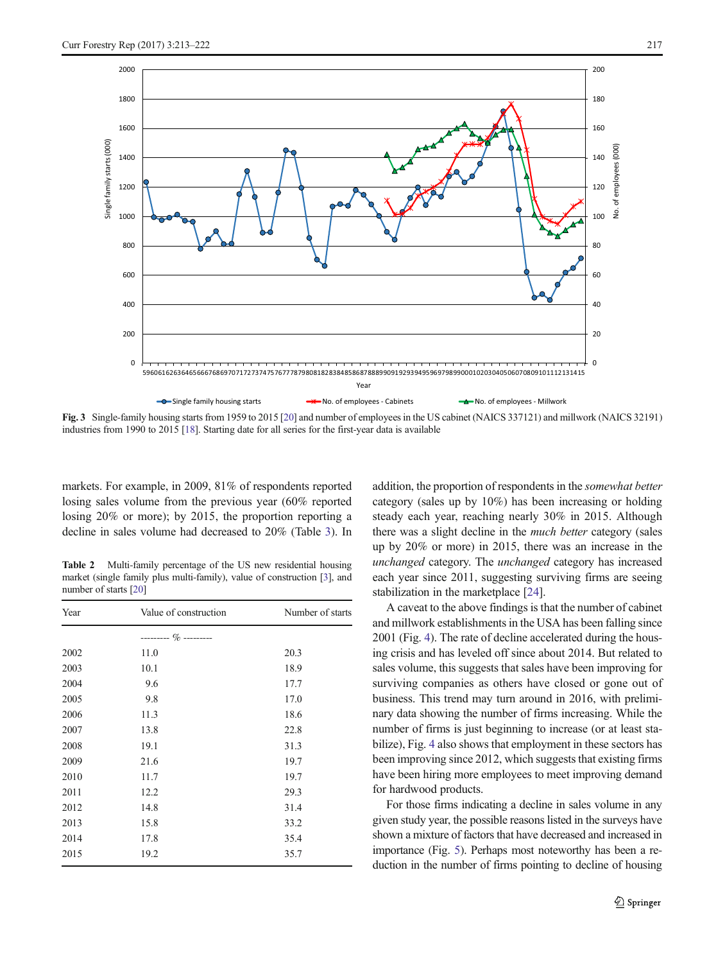<span id="page-4-0"></span>

Fig. 3 Single-family housing starts from 1959 to 2015 [\[20](#page-8-0)] and number of employees in the US cabinet (NAICS 337121) and millwork (NAICS 32191) industries from 1990 to 2015 [[18](#page-8-0)]. Starting date for all series for the first-year data is available

markets. For example, in 2009, 81% of respondents reported losing sales volume from the previous year (60% reported losing 20% or more); by 2015, the proportion reporting a decline in sales volume had decreased to 20% (Table [3](#page-5-0)). In

Table 2 Multi-family percentage of the US new residential housing market (single family plus multi-family), value of construction [[3\]](#page-8-0), and number of starts [\[20\]](#page-8-0)

| Year | Value of construction | Number of starts |  |  |
|------|-----------------------|------------------|--|--|
|      |                       |                  |  |  |
| 2002 | 11.0                  | 20.3             |  |  |
| 2003 | 10.1                  | 18.9             |  |  |
| 2004 | 9.6                   | 17.7             |  |  |
| 2005 | 9.8                   | 17.0             |  |  |
| 2006 | 11.3                  | 18.6             |  |  |
| 2007 | 13.8                  | 22.8             |  |  |
| 2008 | 19.1                  | 31.3             |  |  |
| 2009 | 21.6                  | 19.7             |  |  |
| 2010 | 11.7                  | 19.7             |  |  |
| 2011 | 12.2                  | 29.3             |  |  |
| 2012 | 14.8                  | 31.4             |  |  |
| 2013 | 15.8                  | 33.2             |  |  |
| 2014 | 17.8                  | 35.4             |  |  |
| 2015 | 19.2                  | 35.7             |  |  |

addition, the proportion of respondents in the somewhat better category (sales up by 10%) has been increasing or holding steady each year, reaching nearly 30% in 2015. Although there was a slight decline in the much better category (sales up by 20% or more) in 2015, there was an increase in the unchanged category. The unchanged category has increased each year since 2011, suggesting surviving firms are seeing stabilization in the marketplace [\[24\]](#page-8-0).

A caveat to the above findings is that the number of cabinet and millwork establishments in the USA has been falling since 2001 (Fig. [4\)](#page-5-0). The rate of decline accelerated during the housing crisis and has leveled off since about 2014. But related to sales volume, this suggests that sales have been improving for surviving companies as others have closed or gone out of business. This trend may turn around in 2016, with preliminary data showing the number of firms increasing. While the number of firms is just beginning to increase (or at least stabilize), Fig. [4](#page-5-0) also shows that employment in these sectors has been improving since 2012, which suggests that existing firms have been hiring more employees to meet improving demand for hardwood products.

For those firms indicating a decline in sales volume in any given study year, the possible reasons listed in the surveys have shown a mixture of factors that have decreased and increased in importance (Fig. [5](#page-6-0)). Perhaps most noteworthy has been a reduction in the number of firms pointing to decline of housing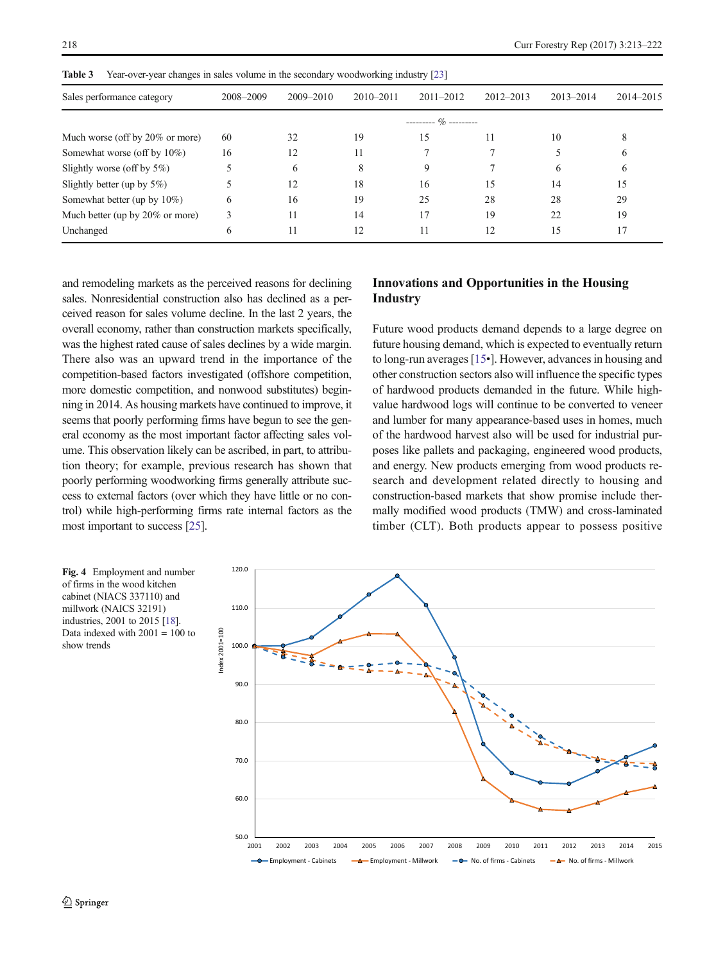| таріс э<br>$1$ cal-ovci-year changes in sales volume in the secondary woodworking muusu y $221$ |           |               |                             |               |               |               |           |  |  |  |  |
|-------------------------------------------------------------------------------------------------|-----------|---------------|-----------------------------|---------------|---------------|---------------|-----------|--|--|--|--|
| Sales performance category                                                                      | 2008-2009 | $2009 - 2010$ | $2010 - 2011$               | $2011 - 2012$ | $2012 - 2013$ | $2013 - 2014$ | 2014-2015 |  |  |  |  |
|                                                                                                 |           |               | $-$ -------- $\%$ --------- |               |               |               |           |  |  |  |  |
| Much worse (off by 20% or more)                                                                 | 60        | 32            | 19                          | 15            | 11            | 10            | 8         |  |  |  |  |
| Somewhat worse (off by 10%)                                                                     | 16        | 12            | 11                          |               |               |               | 6         |  |  |  |  |
| Slightly worse (off by $5\%$ )                                                                  |           | 6             | 8                           |               |               | 6             | 6         |  |  |  |  |
| Slightly better (up by $5\%$ )                                                                  |           | 12            | 18                          | 16            | 15            | 14            | 15        |  |  |  |  |
| Somewhat better (up by $10\%$ )                                                                 | 6         | 16            | 19                          | 25            | 28            | 28            | 29        |  |  |  |  |
| Much better (up by 20% or more)                                                                 | 3         | 11            | 14                          | 17            | 19            | 22            | 19        |  |  |  |  |
| Unchanged                                                                                       | 6         | 11            | 12                          | 11            | 12            | 15            | 17        |  |  |  |  |

<span id="page-5-0"></span>Table 3 Year-over-year changes in sales volume in the secondary woodworking industry [[23\]](#page-8-0)

and remodeling markets as the perceived reasons for declining sales. Nonresidential construction also has declined as a perceived reason for sales volume decline. In the last 2 years, the overall economy, rather than construction markets specifically, was the highest rated cause of sales declines by a wide margin. There also was an upward trend in the importance of the competition-based factors investigated (offshore competition, more domestic competition, and nonwood substitutes) beginning in 2014. As housing markets have continued to improve, it seems that poorly performing firms have begun to see the general economy as the most important factor affecting sales volume. This observation likely can be ascribed, in part, to attribution theory; for example, previous research has shown that poorly performing woodworking firms generally attribute success to external factors (over which they have little or no control) while high-performing firms rate internal factors as the most important to success [\[25\]](#page-8-0).

## Innovations and Opportunities in the Housing Industry

Future wood products demand depends to a large degree on future housing demand, which is expected to eventually return to long-run averages [[15](#page-8-0)•]. However, advances in housing and other construction sectors also will influence the specific types of hardwood products demanded in the future. While highvalue hardwood logs will continue to be converted to veneer and lumber for many appearance-based uses in homes, much of the hardwood harvest also will be used for industrial purposes like pallets and packaging, engineered wood products, and energy. New products emerging from wood products research and development related directly to housing and construction-based markets that show promise include thermally modified wood products (TMW) and cross-laminated timber (CLT). Both products appear to possess positive

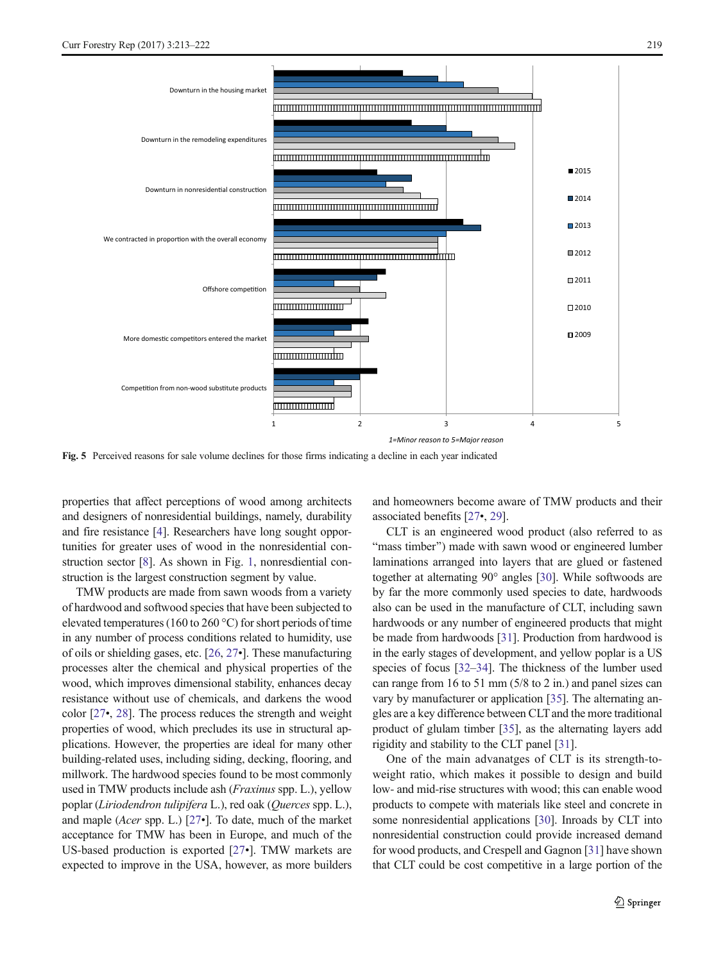<span id="page-6-0"></span>

Fig. 5 Perceived reasons for sale volume declines for those firms indicating a decline in each year indicated

properties that affect perceptions of wood among architects and designers of nonresidential buildings, namely, durability and fire resistance [[4\]](#page-8-0). Researchers have long sought opportunities for greater uses of wood in the nonresidential construction sector [\[8](#page-8-0)]. As shown in Fig. [1](#page-2-0), nonresdiential construction is the largest construction segment by value.

TMW products are made from sawn woods from a variety of hardwood and softwood species that have been subjected to elevated temperatures (160 to 260 °C) for short periods of time in any number of process conditions related to humidity, use of oils or shielding gases, etc. [\[26](#page-8-0), [27](#page-8-0)•]. These manufacturing processes alter the chemical and physical properties of the wood, which improves dimensional stability, enhances decay resistance without use of chemicals, and darkens the wood color [\[27](#page-8-0)•, [28](#page-8-0)]. The process reduces the strength and weight properties of wood, which precludes its use in structural applications. However, the properties are ideal for many other building-related uses, including siding, decking, flooring, and millwork. The hardwood species found to be most commonly used in TMW products include ash (Fraxinus spp. L.), yellow poplar (Liriodendron tulipifera L.), red oak (Querces spp. L.), and maple (Acer spp. L.) [[27](#page-8-0)•]. To date, much of the market acceptance for TMW has been in Europe, and much of the US-based production is exported [[27](#page-8-0)•]. TMW markets are expected to improve in the USA, however, as more builders and homeowners become aware of TMW products and their associated benefits [[27](#page-8-0)•, [29\]](#page-8-0).

CLT is an engineered wood product (also referred to as "mass timber") made with sawn wood or engineered lumber laminations arranged into layers that are glued or fastened together at alternating 90° angles [[30](#page-8-0)]. While softwoods are by far the more commonly used species to date, hardwoods also can be used in the manufacture of CLT, including sawn hardwoods or any number of engineered products that might be made from hardwoods [[31](#page-8-0)]. Production from hardwood is in the early stages of development, and yellow poplar is a US species of focus [[32](#page-8-0)–[34](#page-8-0)]. The thickness of the lumber used can range from 16 to 51 mm (5/8 to 2 in.) and panel sizes can vary by manufacturer or application [\[35\]](#page-8-0). The alternating angles are a key difference between CLT and the more traditional product of glulam timber [\[35\]](#page-8-0), as the alternating layers add rigidity and stability to the CLT panel [[31\]](#page-8-0).

One of the main advanatges of CLT is its strength-toweight ratio, which makes it possible to design and build low- and mid-rise structures with wood; this can enable wood products to compete with materials like steel and concrete in some nonresidential applications [[30](#page-8-0)]. Inroads by CLT into nonresidential construction could provide increased demand for wood products, and Crespell and Gagnon [\[31](#page-8-0)] have shown that CLT could be cost competitive in a large portion of the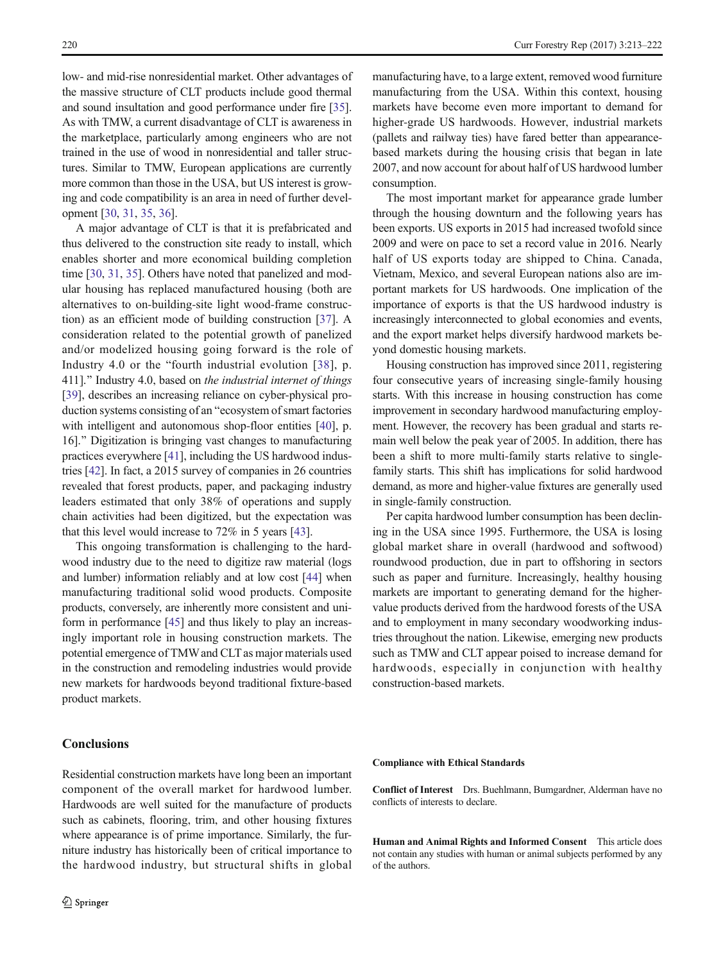low- and mid-rise nonresidential market. Other advantages of the massive structure of CLT products include good thermal and sound insultation and good performance under fire [[35\]](#page-8-0). As with TMW, a current disadvantage of CLT is awareness in the marketplace, particularly among engineers who are not trained in the use of wood in nonresidential and taller structures. Similar to TMW, European applications are currently more common than those in the USA, but US interest is growing and code compatibility is an area in need of further development [\[30,](#page-8-0) [31,](#page-8-0) [35,](#page-8-0) [36](#page-8-0)].

A major advantage of CLT is that it is prefabricated and thus delivered to the construction site ready to install, which enables shorter and more economical building completion time [[30,](#page-8-0) [31,](#page-8-0) [35](#page-8-0)]. Others have noted that panelized and modular housing has replaced manufactured housing (both are alternatives to on-building-site light wood-frame construction) as an efficient mode of building construction [[37\]](#page-8-0). A consideration related to the potential growth of panelized and/or modelized housing going forward is the role of Industry 4.0 or the "fourth industrial evolution [[38](#page-8-0)], p. 411]." Industry 4.0, based on the industrial internet of things [\[39\]](#page-8-0), describes an increasing reliance on cyber-physical production systems consisting of an "ecosystem of smart factories with intelligent and autonomous shop-floor entities [[40](#page-9-0)], p. 16]." Digitization is bringing vast changes to manufacturing practices everywhere [\[41\]](#page-9-0), including the US hardwood industries [[42\]](#page-9-0). In fact, a 2015 survey of companies in 26 countries revealed that forest products, paper, and packaging industry leaders estimated that only 38% of operations and supply chain activities had been digitized, but the expectation was that this level would increase to 72% in 5 years [[43\]](#page-9-0).

This ongoing transformation is challenging to the hardwood industry due to the need to digitize raw material (logs and lumber) information reliably and at low cost [[44](#page-9-0)] when manufacturing traditional solid wood products. Composite products, conversely, are inherently more consistent and uniform in performance [[45](#page-9-0)] and thus likely to play an increasingly important role in housing construction markets. The potential emergence of TMW and CLT as major materials used in the construction and remodeling industries would provide new markets for hardwoods beyond traditional fixture-based product markets.

Residential construction markets have long been an important component of the overall market for hardwood lumber. Hardwoods are well suited for the manufacture of products such as cabinets, flooring, trim, and other housing fixtures where appearance is of prime importance. Similarly, the furniture industry has historically been of critical importance to

## **Conclusions**

manufacturing have, to a large extent, removed wood furniture manufacturing from the USA. Within this context, housing markets have become even more important to demand for higher-grade US hardwoods. However, industrial markets (pallets and railway ties) have fared better than appearancebased markets during the housing crisis that began in late 2007, and now account for about half of US hardwood lumber consumption.

The most important market for appearance grade lumber through the housing downturn and the following years has been exports. US exports in 2015 had increased twofold since 2009 and were on pace to set a record value in 2016. Nearly half of US exports today are shipped to China. Canada, Vietnam, Mexico, and several European nations also are important markets for US hardwoods. One implication of the importance of exports is that the US hardwood industry is increasingly interconnected to global economies and events, and the export market helps diversify hardwood markets beyond domestic housing markets.

Housing construction has improved since 2011, registering four consecutive years of increasing single-family housing starts. With this increase in housing construction has come improvement in secondary hardwood manufacturing employment. However, the recovery has been gradual and starts remain well below the peak year of 2005. In addition, there has been a shift to more multi-family starts relative to singlefamily starts. This shift has implications for solid hardwood demand, as more and higher-value fixtures are generally used in single-family construction.

Per capita hardwood lumber consumption has been declining in the USA since 1995. Furthermore, the USA is losing global market share in overall (hardwood and softwood) roundwood production, due in part to offshoring in sectors such as paper and furniture. Increasingly, healthy housing markets are important to generating demand for the highervalue products derived from the hardwood forests of the USA and to employment in many secondary woodworking industries throughout the nation. Likewise, emerging new products such as TMW and CLT appear poised to increase demand for hardwoods, especially in conjunction with healthy construction-based markets.

#### Compliance with Ethical Standards

Conflict of Interest Drs. Buehlmann, Bumgardner, Alderman have no conflicts of interests to declare.

Human and Animal Rights and Informed Consent This article does not contain any studies with human or animal subjects performed by any of the authors.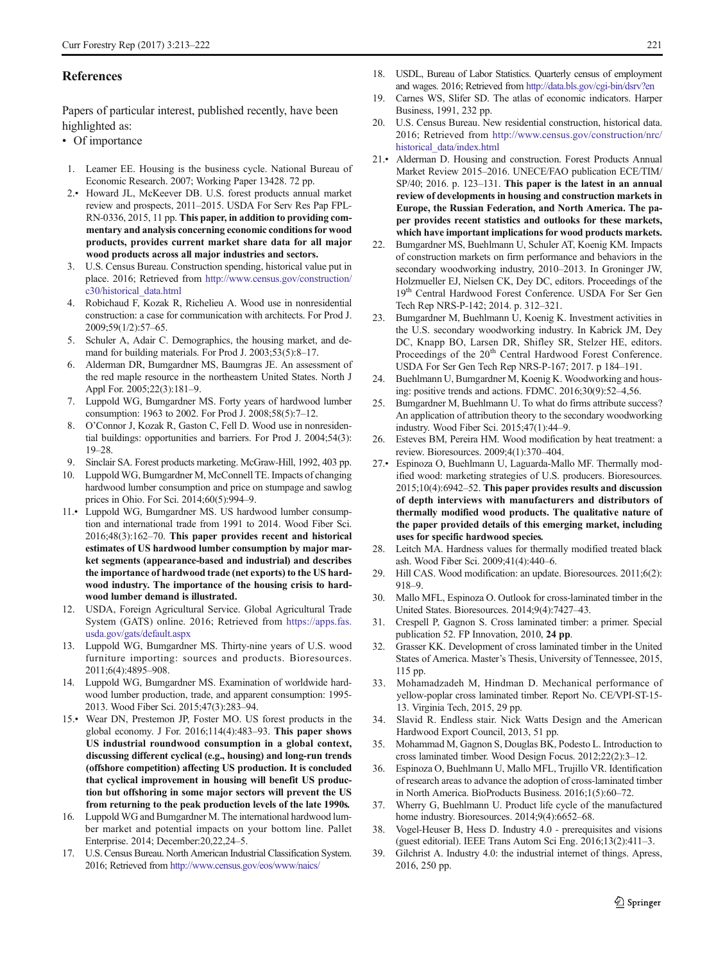#### <span id="page-8-0"></span>**References**

Papers of particular interest, published recently, have been highlighted as:

- Of importance
- 1. Leamer EE. Housing is the business cycle. National Bureau of Economic Research. 2007; Working Paper 13428. 72 pp.
- 2.• Howard JL, McKeever DB. U.S. forest products annual market review and prospects, 2011–2015. USDA For Serv Res Pap FPL-RN-0336, 2015, 11 pp. This paper, in addition to providing commentary and analysis concerning economic conditions for wood products, provides current market share data for all major wood products across all major industries and sectors.
- 3. U.S. Census Bureau. Construction spending, historical value put in place. 2016; Retrieved from [http://www.census.gov/construction/](http://www.census.gov/construction/c30/historical_data.html) [c30/historical\\_data.html](http://www.census.gov/construction/c30/historical_data.html)
- 4. Robichaud F, Kozak R, Richelieu A. Wood use in nonresidential construction: a case for communication with architects. For Prod J. 2009;59(1/2):57–65.
- 5. Schuler A, Adair C. Demographics, the housing market, and demand for building materials. For Prod J. 2003;53(5):8–17.
- 6. Alderman DR, Bumgardner MS, Baumgras JE. An assessment of the red maple resource in the northeastern United States. North J Appl For. 2005;22(3):181–9.
- 7. Luppold WG, Bumgardner MS. Forty years of hardwood lumber consumption: 1963 to 2002. For Prod J. 2008;58(5):7–12.
- 8. O'Connor J, Kozak R, Gaston C, Fell D. Wood use in nonresidential buildings: opportunities and barriers. For Prod J. 2004;54(3): 19–28.
- 9. Sinclair SA. Forest products marketing. McGraw-Hill, 1992, 403 pp.
- 10. Luppold WG, Bumgardner M, McConnell TE. Impacts of changing hardwood lumber consumption and price on stumpage and sawlog prices in Ohio. For Sci. 2014;60(5):994–9.
- 11.• Luppold WG, Bumgardner MS. US hardwood lumber consumption and international trade from 1991 to 2014. Wood Fiber Sci. 2016;48(3):162–70. This paper provides recent and historical estimates of US hardwood lumber consumption by major market segments (appearance-based and industrial) and describes the importance of hardwood trade (net exports) to the US hardwood industry. The importance of the housing crisis to hardwood lumber demand is illustrated.
- 12. USDA, Foreign Agricultural Service. Global Agricultural Trade System (GATS) online. 2016; Retrieved from [https://apps.fas.](https://apps.fas.usda.gov/gats/default.aspx) [usda.gov/gats/default.aspx](https://apps.fas.usda.gov/gats/default.aspx)
- 13. Luppold WG, Bumgardner MS. Thirty-nine years of U.S. wood furniture importing: sources and products. Bioresources. 2011;6(4):4895–908.
- 14. Luppold WG, Bumgardner MS. Examination of worldwide hardwood lumber production, trade, and apparent consumption: 1995- 2013. Wood Fiber Sci. 2015;47(3):283–94.
- 15.• Wear DN, Prestemon JP, Foster MO. US forest products in the global economy. J For. 2016;114(4):483–93. This paper shows US industrial roundwood consumption in a global context, discussing different cyclical (e.g., housing) and long-run trends (offshore competition) affecting US production. It is concluded that cyclical improvement in housing will benefit US production but offshoring in some major sectors will prevent the US from returning to the peak production levels of the late 1990s.
- 16. Luppold WG and Bumgardner M. The international hardwood lumber market and potential impacts on your bottom line. Pallet Enterprise. 2014; December:20,22,24–5.
- 17. U.S. Census Bureau. North American Industrial Classification System. 2016; Retrieved from <http://www.census.gov/eos/www/naics/>
- 18. USDL, Bureau of Labor Statistics. Quarterly census of employment and wages. 2016; Retrieved from <http://data.bls.gov/cgi-bin/dsrv?en>
- 19. Carnes WS, Slifer SD. The atlas of economic indicators. Harper Business, 1991, 232 pp.
- 20. U.S. Census Bureau. New residential construction, historical data. 2016; Retrieved from [http://www.census.gov/construction/nrc/](http://www.census.gov/construction/nrc/historical_data/index.html) [historical\\_data/index.html](http://www.census.gov/construction/nrc/historical_data/index.html)
- 21.• Alderman D. Housing and construction. Forest Products Annual Market Review 2015–2016. UNECE/FAO publication ECE/TIM/ SP/40; 2016. p. 123–131. This paper is the latest in an annual review of developments in housing and construction markets in Europe, the Russian Federation, and North America. The paper provides recent statistics and outlooks for these markets, which have important implications for wood products markets.
- 22. Bumgardner MS, Buehlmann U, Schuler AT, Koenig KM. Impacts of construction markets on firm performance and behaviors in the secondary woodworking industry, 2010–2013. In Groninger JW, Holzmueller EJ, Nielsen CK, Dey DC, editors. Proceedings of the 19th Central Hardwood Forest Conference. USDA For Ser Gen Tech Rep NRS-P-142; 2014. p. 312–321.
- 23. Bumgardner M, Buehlmann U, Koenig K. Investment activities in the U.S. secondary woodworking industry. In Kabrick JM, Dey DC, Knapp BO, Larsen DR, Shifley SR, Stelzer HE, editors. Proceedings of the 20<sup>th</sup> Central Hardwood Forest Conference. USDA For Ser Gen Tech Rep NRS-P-167; 2017. p 184–191.
- 24. Buehlmann U, Bumgardner M, Koenig K. Woodworking and housing: positive trends and actions. FDMC. 2016;30(9):52–4,56.
- 25. Bumgardner M, Buehlmann U. To what do firms attribute success? An application of attribution theory to the secondary woodworking industry. Wood Fiber Sci. 2015;47(1):44–9.
- Esteves BM, Pereira HM. Wood modification by heat treatment: a review. Bioresources. 2009;4(1):370–404.
- 27.• Espinoza O, Buehlmann U, Laguarda-Mallo MF. Thermally modified wood: marketing strategies of U.S. producers. Bioresources. 2015;10(4):6942–52. This paper provides results and discussion of depth interviews with manufacturers and distributors of thermally modified wood products. The qualitative nature of the paper provided details of this emerging market, including uses for specific hardwood species.
- 28. Leitch MA. Hardness values for thermally modified treated black ash. Wood Fiber Sci. 2009;41(4):440–6.
- 29. Hill CAS. Wood modification: an update. Bioresources. 2011;6(2): 918–9.
- 30. Mallo MFL, Espinoza O. Outlook for cross-laminated timber in the United States. Bioresources. 2014;9(4):7427–43.
- 31. Crespell P, Gagnon S. Cross laminated timber: a primer. Special publication 52. FP Innovation, 2010, 24 pp.
- 32. Grasser KK. Development of cross laminated timber in the United States of America. Master's Thesis, University of Tennessee, 2015, 115 pp.
- 33. Mohamadzadeh M, Hindman D. Mechanical performance of yellow-poplar cross laminated timber. Report No. CE/VPI-ST-15- 13. Virginia Tech, 2015, 29 pp.
- 34. Slavid R. Endless stair. Nick Watts Design and the American Hardwood Export Council, 2013, 51 pp.
- 35. Mohammad M, Gagnon S, Douglas BK, Podesto L. Introduction to cross laminated timber. Wood Design Focus. 2012;22(2):3–12.
- 36. Espinoza O, Buehlmann U, Mallo MFL, Trujillo VR. Identification of research areas to advance the adoption of cross-laminated timber in North America. BioProducts Business. 2016;1(5):60–72.
- 37. Wherry G, Buehlmann U. Product life cycle of the manufactured home industry. Bioresources. 2014;9(4):6652-68.
- 38. Vogel-Heuser B, Hess D. Industry 4.0 prerequisites and visions (guest editorial). IEEE Trans Autom Sci Eng. 2016;13(2):411–3.
- 39. Gilchrist A. Industry 4.0: the industrial internet of things. Apress, 2016, 250 pp.